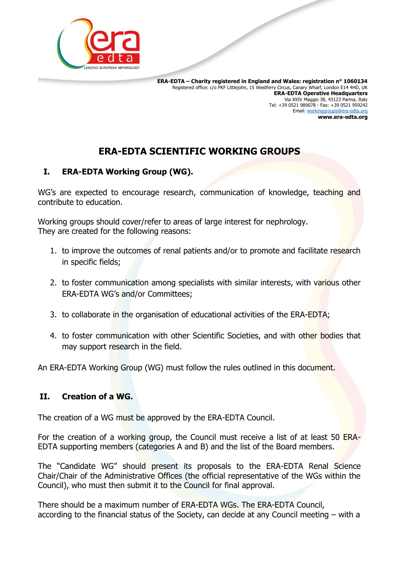

 **ERA-EDTA – Charity registered in England and Wales: registration n° 1060134** Registered office: c/o PKF Littlejohn, 15 Westferry Circus, Canary Wharf, London E14 4HD, UK **ERA-EDTA Operative Headquarters** Via XXIV Maggio 38, 43123 Parma, Italy Tel: +39 0521 989078 - Fax: +39 0521 959242 Email: [workinggroups@era-edta.org](mailto:workinggroups@era-edta.org) **www.era-edta.org**

# **ERA-EDTA SCIENTIFIC WORKING GROUPS**

## **I. ERA-EDTA Working Group (WG).**

WG's are expected to encourage research, communication of knowledge, teaching and contribute to education.

Working groups should cover/refer to areas of large interest for nephrology. They are created for the following reasons:

- 1. to improve the outcomes of renal patients and/or to promote and facilitate research in specific fields;
- 2. to foster communication among specialists with similar interests, with various other ERA-EDTA WG's and/or Committees;
- 3. to collaborate in the organisation of educational activities of the ERA-EDTA;
- 4. to foster communication with other Scientific Societies, and with other bodies that may support research in the field.

An ERA-EDTA Working Group (WG) must follow the rules outlined in this document.

## **II. Creation of a WG.**

The creation of a WG must be approved by the ERA-EDTA Council.

For the creation of a working group, the Council must receive a list of at least 50 ERA-EDTA supporting members (categories A and B) and the list of the Board members.

The "Candidate WG" should present its proposals to the ERA-EDTA Renal Science Chair/Chair of the Administrative Offices (the official representative of the WGs within the Council), who must then submit it to the Council for final approval.

There should be a maximum number of ERA-EDTA WGs. The ERA-EDTA Council, according to the financial status of the Society, can decide at any Council meeting – with a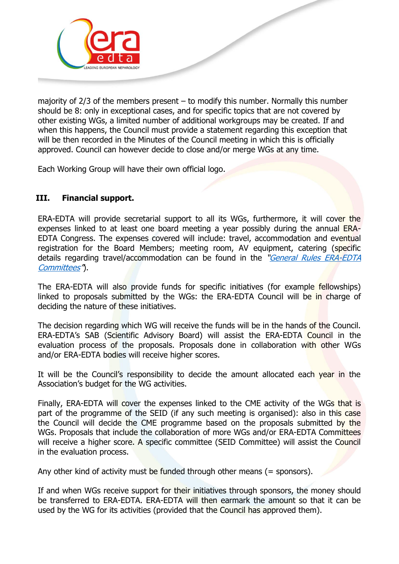

majority of 2/3 of the members present – to modify this number. Normally this number should be 8: only in exceptional cases, and for specific topics that are not covered by other existing WGs, a limited number of additional workgroups may be created. If and when this happens, the Council must provide a statement regarding this exception that will be then recorded in the Minutes of the Council meeting in which this is officially approved. Council can however decide to close and/or merge WGs at any time.

Each Working Group will have their own official logo.

# **III. Financial support.**

ERA-EDTA will provide secretarial support to all its WGs, furthermore, it will cover the expenses linked to at least one board meeting a year possibly during the annual ERA-EDTA Congress. The expenses covered will include: travel, accommodation and eventual registration for the Board Members; meeting room, AV equipment, catering (specific details regarding travel/accommodation can be found in the "*General Rules ERA-EDTA* [Committees](http://www.era-edta.org/2019_01_04%20_General_Rules_ERA-EDTA_Committees.pdf)").

The ERA-EDTA will also provide funds for specific initiatives (for example fellowships) linked to proposals submitted by the WGs: the ERA-EDTA Council will be in charge of deciding the nature of these initiatives.

The decision regarding which WG will receive the funds will be in the hands of the Council. ERA-EDTA's SAB (Scientific Advisory Board) will assist the ERA-EDTA Council in the evaluation process of the proposals. Proposals done in collaboration with other WGs and/or ERA-EDTA bodies will receive higher scores.

It will be the Council's responsibility to decide the amount allocated each year in the Association's budget for the WG activities.

Finally, ERA-EDTA will cover the expenses linked to the CME activity of the WGs that is part of the programme of the SEID (if any such meeting is organised): also in this case the Council will decide the CME programme based on the proposals submitted by the WGs. Proposals that include the collaboration of more WGs and/or ERA-EDTA Committees will receive a higher score. A specific committee (SEID Committee) will assist the Council in the evaluation process.

Any other kind of activity must be funded through other means  $(=$  sponsors).

If and when WGs receive support for their initiatives through sponsors, the money should be transferred to ERA-EDTA. ERA-EDTA will then earmark the amount so that it can be used by the WG for its activities (provided that the Council has approved them).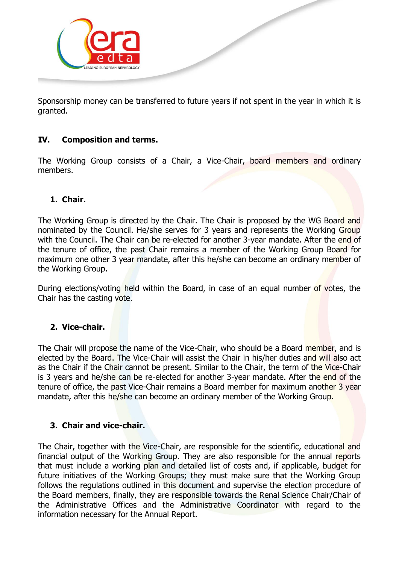

Sponsorship money can be transferred to future years if not spent in the year in which it is granted.

#### **IV. Composition and terms.**

The Working Group consists of a Chair, a Vice-Chair, board members and ordinary members.

#### **1. Chair.**

The Working Group is directed by the Chair. The Chair is proposed by the WG Board and nominated by the Council. He/she serves for 3 years and represents the Working Group with the Council. The Chair can be re-elected for another 3-year mandate. After the end of the tenure of office, the past Chair remains a member of the Working Group Board for maximum one other 3 year mandate, after this he/she can become an ordinary member of the Working Group.

During elections/voting held within the Board, in case of an equal number of votes, the Chair has the casting vote.

#### **2. Vice-chair.**

The Chair will propose the name of the Vice-Chair, who should be a Board member, and is elected by the Board. The Vice-Chair will assist the Chair in his/her duties and will also act as the Chair if the Chair cannot be present. Similar to the Chair, the term of the Vice-Chair is 3 years and he/she can be re-elected for another 3-year mandate. After the end of the tenure of office, the past Vice-Chair remains a Board member for maximum another 3 year mandate, after this he/she can become an ordinary member of the Working Group.

#### **3. Chair and vice-chair.**

The Chair, together with the Vice-Chair, are responsible for the scientific, educational and financial output of the Working Group. They are also responsible for the annual reports that must include a working plan and detailed list of costs and, if applicable, budget for future initiatives of the Working Groups; they must make sure that the Working Group follows the regulations outlined in this document and supervise the election procedure of the Board members, finally, they are responsible towards the Renal Science Chair/Chair of the Administrative Offices and the Administrative Coordinator with regard to the information necessary for the Annual Report.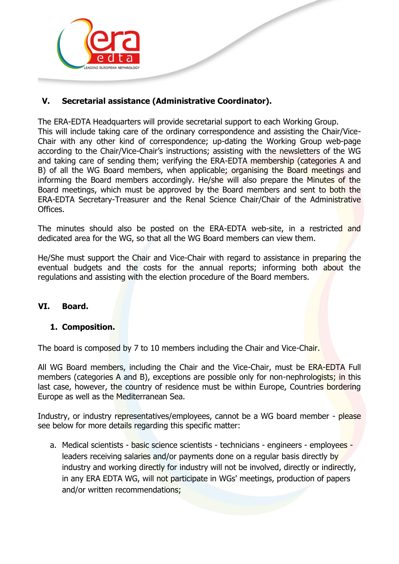

# **V. Secretarial assistance (Administrative Coordinator).**

The ERA-EDTA Headquarters will provide secretarial support to each Working Group. This will include taking care of the ordinary correspondence and assisting the Chair/Vice-Chair with any other kind of correspondence; up-dating the Working Group web-page according to the Chair/Vice-Chair's instructions; assisting with the newsletters of the WG and taking care of sending them; verifying the ERA-EDTA membership (categories A and B) of all the WG Board members, when applicable; organising the Board meetings and informing the Board members accordingly. He/she will also prepare the Minutes of the Board meetings, which must be approved by the Board members and sent to both the ERA-EDTA Secretary-Treasurer and the Renal Science Chair/Chair of the Administrative Offices.

The minutes should also be posted on the ERA-EDTA web-site, in a restricted and dedicated area for the WG, so that all the WG Board members can view them.

He/She must support the Chair and Vice-Chair with regard to assistance in preparing the eventual budgets and the costs for the annual reports; informing both about the regulations and assisting with the election procedure of the Board members.

## **VI. Board.**

#### **1. Composition.**

The board is composed by 7 to 10 members including the Chair and Vice-Chair.

All WG Board members, including the Chair and the Vice-Chair, must be ERA-EDTA Full members (categories A and B), exceptions are possible only for non-nephrologists; in this last case, however, the country of residence must be within Europe, Countries bordering Europe as well as the Mediterranean Sea.

Industry, or industry representatives/employees, cannot be a WG board member - please see below for more details regarding this specific matter:

a. Medical scientists - basic science scientists - technicians - engineers - employees leaders receiving salaries and/or payments done on a regular basis directly by industry and working directly for industry will not be involved, directly or indirectly, in any ERA EDTA WG, will not participate in WGs' meetings, production of papers and/or written recommendations;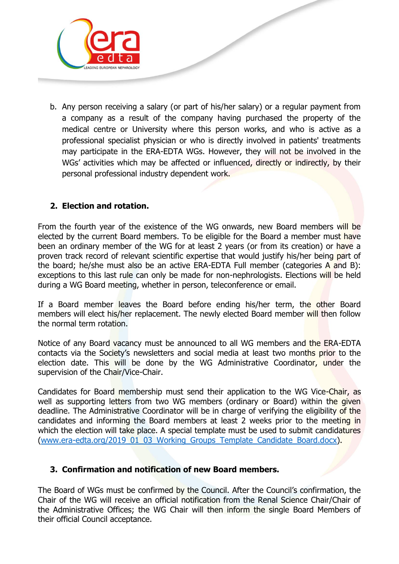

b. Any person receiving a salary (or part of his/her salary) or a regular payment from a company as a result of the company having purchased the property of the medical centre or University where this person works, and who is active as a professional specialist physician or who is directly involved in patients' treatments may participate in the ERA-EDTA WGs. However, they will not be involved in the WGs' activities which may be affected or influenced, directly or indirectly, by their personal professional industry dependent work.

# **2. Election and rotation.**

From the fourth year of the existence of the WG onwards, new Board members will be elected by the current Board members. To be eligible for the Board a member must have been an ordinary member of the WG for at least 2 years (or from its creation) or have a proven track record of relevant scientific expertise that would justify his/her being part of the board; he/she must also be an active ERA-EDTA Full member (categories A and B): exceptions to this last rule can only be made for non-nephrologists. Elections will be held during a WG Board meeting, whether in person, teleconference or email.

If a Board member leaves the Board before ending his/her term, the other Board members will elect his/her replacement. The newly elected Board member will then follow the normal term rotation.

Notice of any Board vacancy must be announced to all WG members and the ERA-EDTA contacts via the Society's newsletters and social media at least two months prior to the election date. This will be done by the WG Administrative Coordinator, under the supervision of the Chair/Vice-Chair.

Candidates for Board membership must send their application to the WG Vice-Chair, as well as supporting letters from two WG members (ordinary or Board) within the given deadline. The Administrative Coordinator will be in charge of verifying the eligibility of the candidates and informing the Board members at least 2 weeks prior to the meeting in which the election will take place. A special template must be used to submit candidatures [\(www.era-edta.org/2019\\_01\\_03\\_Working\\_Groups\\_Template\\_Candidate\\_Board.docx\)](www.era-edta.org/2019_01_03_Working_Groups_Template_Candidate_Board.docx).

## **3. Confirmation and notification of new Board members.**

The Board of WGs must be confirmed by the Council. After the Council's confirmation, the Chair of the WG will receive an official notification from the Renal Science Chair/Chair of the Administrative Offices; the WG Chair will then inform the single Board Members of their official Council acceptance.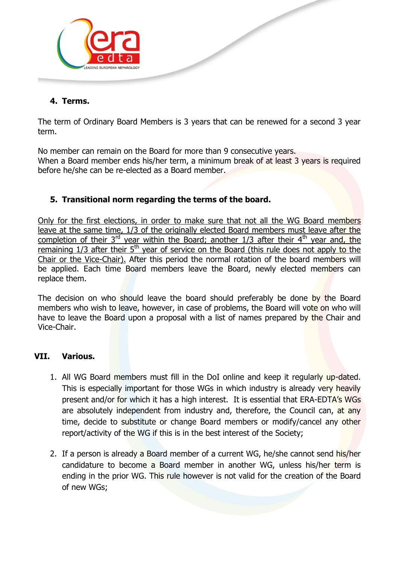

#### **4. Terms.**

The term of Ordinary Board Members is 3 years that can be renewed for a second 3 year term.

No member can remain on the Board for more than 9 consecutive years. When a Board member ends his/her term, a minimum break of at least 3 years is required before he/she can be re-elected as a Board member.

## **5. Transitional norm regarding the terms of the board.**

Only for the first elections, in order to make sure that not all the WG Board members leave at the same time, 1/3 of the originally elected Board members must leave after the completion of their  $3^{rd}$  year within the Board; another 1/3 after their  $4^{th}$  year and, the remaining 1/3 after their 5<sup>th</sup> year of service on the Board (this rule does not apply to the Chair or the Vice-Chair). After this period the normal rotation of the board members will be applied. Each time Board members leave the Board, newly elected members can replace them.

The decision on who should leave the board should preferably be done by the Board members who wish to leave, however, in case of problems, the Board will vote on who will have to leave the Board upon a proposal with a list of names prepared by the Chair and Vice-Chair.

#### **VII. Various.**

- 1. All WG Board members must fill in the DoI online and keep it regularly up-dated. This is especially important for those WGs in which industry is already very heavily present and/or for which it has a high interest. It is essential that ERA-EDTA's WGs are absolutely independent from industry and, therefore, the Council can, at any time, decide to substitute or change Board members or modify/cancel any other report/activity of the WG if this is in the best interest of the Society;
- 2. If a person is already a Board member of a current WG, he/she cannot send his/her candidature to become a Board member in another WG, unless his/her term is ending in the prior WG. This rule however is not valid for the creation of the Board of new WGs;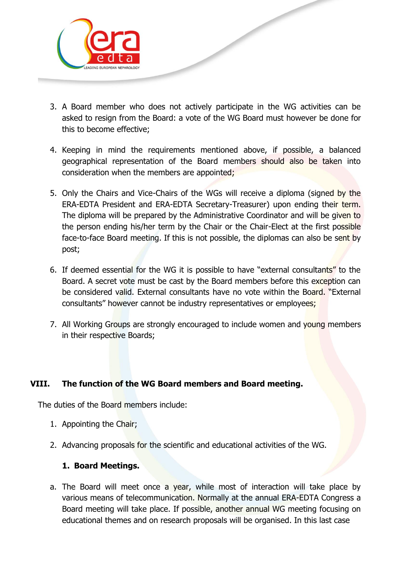

- 3. A Board member who does not actively participate in the WG activities can be asked to resign from the Board: a vote of the WG Board must however be done for this to become effective;
- 4. Keeping in mind the requirements mentioned above, if possible, a balanced geographical representation of the Board members should also be taken into consideration when the members are appointed;
- 5. Only the Chairs and Vice-Chairs of the WGs will receive a diploma (signed by the ERA-EDTA President and ERA-EDTA Secretary-Treasurer) upon ending their term. The diploma will be prepared by the Administrative Coordinator and will be given to the person ending his/her term by the Chair or the Chair-Elect at the first possible face-to-face Board meeting. If this is not possible, the diplomas can also be sent by post;
- 6. If deemed essential for the WG it is possible to have "external consultants" to the Board. A secret vote must be cast by the Board members before this exception can be considered valid. External consultants have no vote within the Board. "External consultants" however cannot be industry representatives or employees;
- 7. All Working Groups are strongly encouraged to include women and young members in their respective Boards;

## **VIII. The function of the WG Board members and Board meeting.**

The duties of the Board members include:

- 1. Appointing the Chair;
- 2. Advancing proposals for the scientific and educational activities of the WG.

## **1. Board Meetings.**

a. The Board will meet once a year, while most of interaction will take place by various means of telecommunication. Normally at the annual ERA-EDTA Congress a Board meeting will take place. If possible, another annual WG meeting focusing on educational themes and on research proposals will be organised. In this last case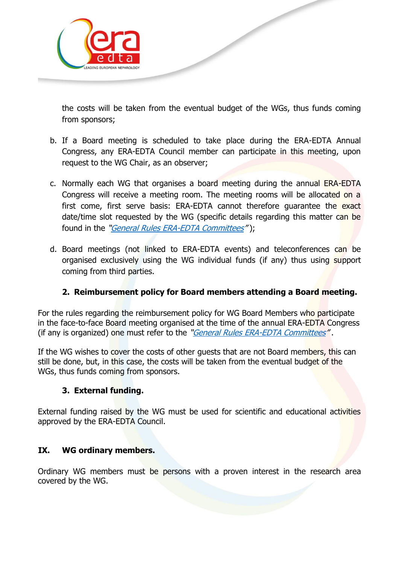

the costs will be taken from the eventual budget of the WGs, thus funds coming from sponsors;

- b. If a Board meeting is scheduled to take place during the ERA-EDTA Annual Congress, any ERA-EDTA Council member can participate in this meeting, upon request to the WG Chair, as an observer;
- c. Normally each WG that organises a board meeting during the annual ERA-EDTA Congress will receive a meeting room. The meeting rooms will be allocated on a first come, first serve basis: ERA-EDTA cannot therefore guarantee the exact date/time slot requested by the WG (specific details regarding this matter can be found in the "[General Rules ERA-EDTA Committees](http://www.era-edta.org/2019_01_04%20_General_Rules_ERA-EDTA_Committees.pdf)");
- d. Board meetings (not linked to ERA-EDTA events) and teleconferences can be organised exclusively using the WG individual funds (if any) thus using support coming from third parties.

## **2. Reimbursement policy for Board members attending a Board meeting.**

For the rules regarding the reimbursement policy for WG Board Members who participate in the face-to-face Board meeting organised at the time of the annual ERA-EDTA Congress (if any is organized) one must refer to the "*[General Rules ERA-EDTA Committees](http://www.era-edta.org/2019_01_04%20_General_Rules_ERA-EDTA_Committees.pdf)*".

If the WG wishes to cover the costs of other quests that are not Board members, this can still be done, but, in this case, the costs will be taken from the eventual budget of the WGs, thus funds coming from sponsors.

## **3. External funding.**

External funding raised by the WG must be used for scientific and educational activities approved by the ERA-EDTA Council.

## **IX. WG ordinary members.**

Ordinary WG members must be persons with a proven interest in the research area covered by the WG.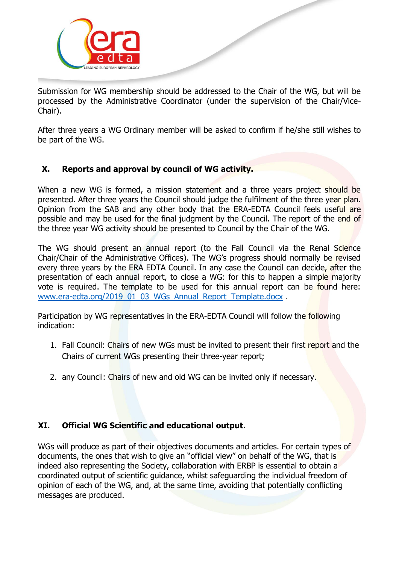

Submission for WG membership should be addressed to the Chair of the WG, but will be processed by the Administrative Coordinator (under the supervision of the Chair/Vice-Chair).

After three years a WG Ordinary member will be asked to confirm if he/she still wishes to be part of the WG.

# **X. Reports and approval by council of WG activity.**

When a new WG is formed, a mission statement and a three years project should be presented. After three years the Council should judge the fulfilment of the three year plan. Opinion from the SAB and any other body that the ERA-EDTA Council feels useful are possible and may be used for the final judgment by the Council. The report of the end of the three year WG activity should be presented to Council by the Chair of the WG.

The WG should present an annual report (to the Fall Council via the Renal Science Chair/Chair of the Administrative Offices). The WG's progress should normally be revised every three years by the ERA EDTA Council. In any case the Council can decide, after the presentation of each annual report, to close a WG: for this to happen a simple majority vote is required. The template to be used for this annual report can be found here: [www.era-edta.org/2019\\_01\\_03\\_WGs\\_Annual\\_Report\\_Template.docx](http://www.era-edta.org/2019_01_03_WGs_Annual_Report_Template.docx) .

Participation by WG representatives in the ERA-EDTA Council will follow the **following** indication:

- 1. Fall Council: Chairs of new WGs must be invited to present their first report and the Chairs of current WGs presenting their three-year report;
- 2. any Council: Chairs of new and old WG can be invited only if necessary.

## **XI. Official WG Scientific and educational output.**

WGs will produce as part of their objectives documents and articles. For certain types of documents, the ones that wish to give an "official view" on behalf of the WG, that is indeed also representing the Society, collaboration with ERBP is essential to obtain a coordinated output of scientific guidance, whilst safeguarding the individual freedom of opinion of each of the WG, and, at the same time, avoiding that potentially conflicting messages are produced.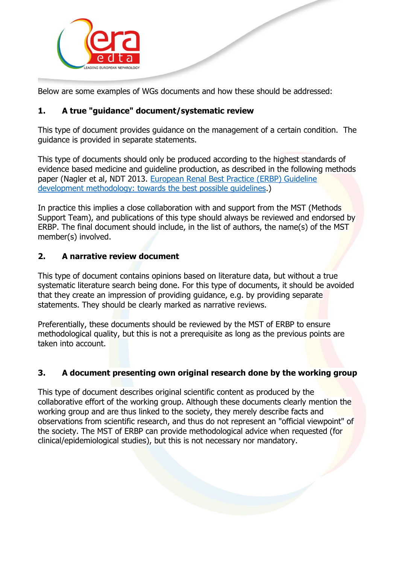

Below are some examples of WGs documents and how these should be addressed:

# **1. A true "guidance" document/systematic review**

This type of document provides guidance on the management of a certain condition. The guidance is provided in separate statements.

This type of documents should only be produced according to the highest standards of evidence based medicine and guideline production, as described in the following methods paper (Nagler et al, NDT 2013. [European Renal Best Practice \(ERBP\) Guideline](http://www.ncbi.nlm.nih.gov/pubmed/24081866)  [development methodology: towards](http://www.ncbi.nlm.nih.gov/pubmed/24081866) the best possible guidelines.)

In practice this implies a close collaboration with and support from the MST (Methods Support Team), and publications of this type should always be reviewed and endorsed by ERBP. The final document should include, in the list of authors, the name(s) of the MST member(s) involved.

## **2. A narrative review document**

This type of document contains opinions based on literature data, but without a true systematic literature search being done. For this type of documents, it should be avoided that they create an impression of providing guidance, e.g. by providing separate statements. They should be clearly marked as narrative reviews.

Preferentially, these documents should be reviewed by the MST of ERBP to ensure methodological quality, but this is not a prerequisite as long as the previous points are taken into account.

## **3. A document presenting own original research done by the working group**

This type of document describes original scientific content as produced by the collaborative effort of the working group. Although these documents clearly mention the working group and are thus linked to the society, they merely describe facts and observations from scientific research, and thus do not represent an "official viewpoint" of the society. The MST of ERBP can provide methodological advice when requested (for clinical/epidemiological studies), but this is not necessary nor mandatory.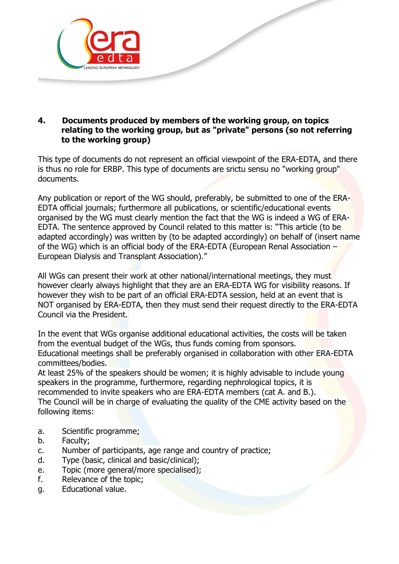

#### **4. Documents produced by members of the working group, on topics relating to the working group, but as "private" persons (so not referring to the working group)**

This type of documents do not represent an official viewpoint of the ERA-EDTA, and there is thus no role for ERBP. This type of documents are srictu sensu no "working group" documents.

Any publication or report of the WG should, preferably, be submitted to one of the ERA-EDTA official journals; furthermore all publications, or scientific/educational events organised by the WG must clearly mention the fact that the WG is indeed a WG of ERA-EDTA. The sentence approved by Council related to this matter is: "This article (to be adapted accordingly) was written by (to be adapted accordingly) on behalf of (insert name of the WG) which is an official body of the ERA-EDTA (European Renal Association – European Dialysis and Transplant Association)."

All WGs can present their work at other national/international meetings, they must however clearly always highlight that they are an ERA-EDTA WG for visibility reasons. If however they wish to be part of an official ERA-EDTA session, held at an event that is NOT organised by ERA-EDTA, then they must send their request directly to the ERA-EDTA Council via the President.

In the event that WGs organise additional educational activities, the costs will be taken from the eventual budget of the WGs, thus funds coming from sponsors. Educational meetings shall be preferably organised in collaboration with other ERA-EDTA committees/bodies.

At least 25% of the speakers should be women; it is highly advisable to include young speakers in the programme, furthermore, regarding nephrological topics, it is recommended to invite speakers who are ERA-EDTA members (cat A. and B.). The Council will be in charge of evaluating the quality of the CME activity based on the following items:

- a. Scientific programme;
- b. Faculty;
- c. Number of participants, age range and country of practice;
- d. Type (basic, clinical and basic/clinical);
- e. Topic (more general/more specialised);
- f. Relevance of the topic;
- g. Educational value.